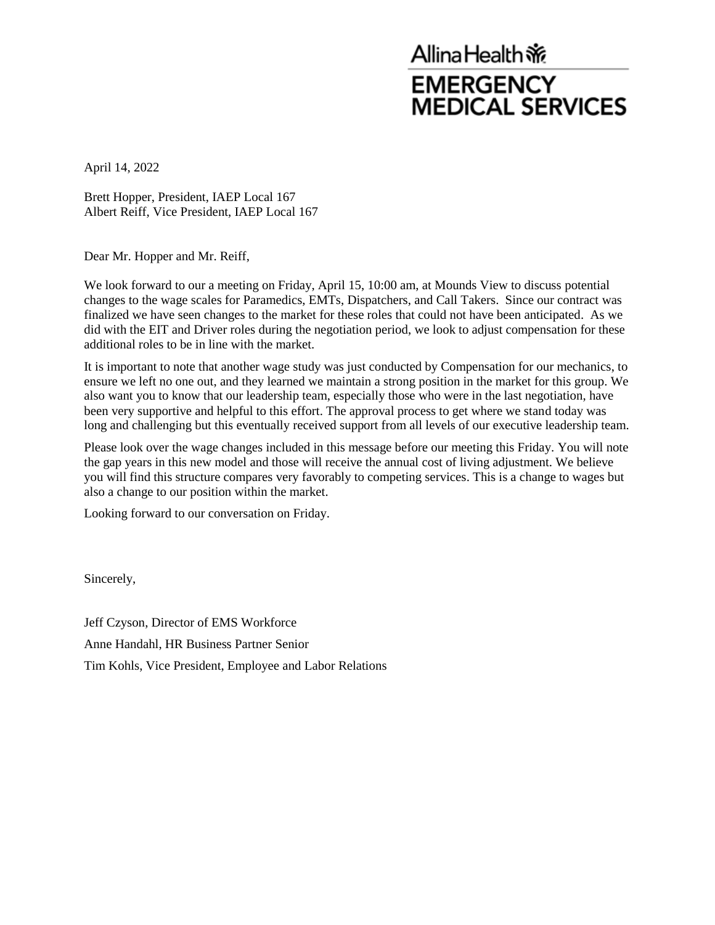## Allina Health ※ **EMERGENCY MEDICAL SERVICES**

April 14, 2022

Brett Hopper, President, IAEP Local 167 Albert Reiff, Vice President, IAEP Local 167

Dear Mr. Hopper and Mr. Reiff,

We look forward to our a meeting on Friday, April 15, 10:00 am, at Mounds View to discuss potential changes to the wage scales for Paramedics, EMTs, Dispatchers, and Call Takers. Since our contract was finalized we have seen changes to the market for these roles that could not have been anticipated. As we did with the EIT and Driver roles during the negotiation period, we look to adjust compensation for these additional roles to be in line with the market.

It is important to note that another wage study was just conducted by Compensation for our mechanics, to ensure we left no one out, and they learned we maintain a strong position in the market for this group. We also want you to know that our leadership team, especially those who were in the last negotiation, have been very supportive and helpful to this effort. The approval process to get where we stand today was long and challenging but this eventually received support from all levels of our executive leadership team.

Please look over the wage changes included in this message before our meeting this Friday. You will note the gap years in this new model and those will receive the annual cost of living adjustment. We believe you will find this structure compares very favorably to competing services. This is a change to wages but also a change to our position within the market.

Looking forward to our conversation on Friday.

Sincerely,

Jeff Czyson, Director of EMS Workforce Anne Handahl, HR Business Partner Senior Tim Kohls, Vice President, Employee and Labor Relations